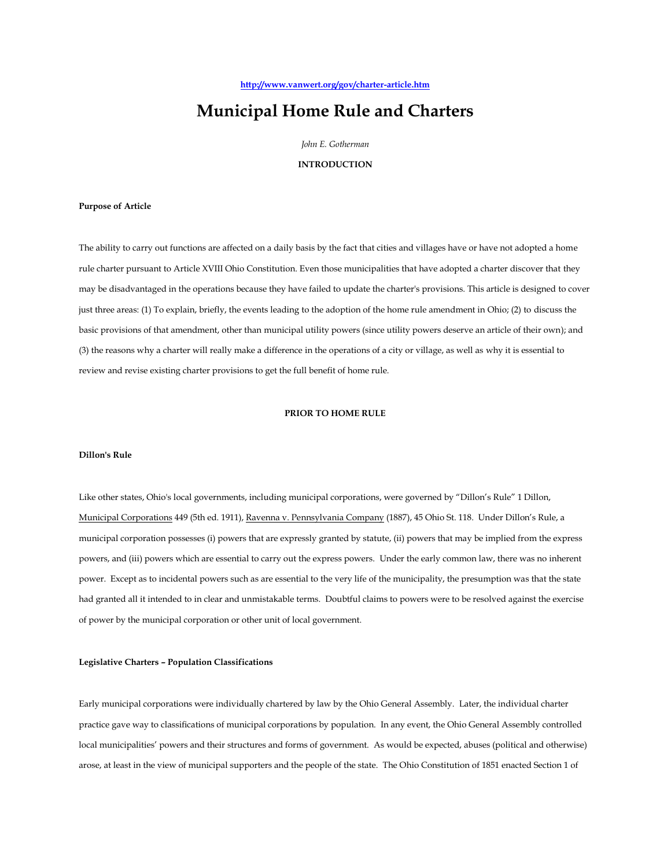## **<http://www.vanwert.org/gov/charter-article.htm>**

# **Municipal Home Rule and Charters**

*John E. Gotherman* 

## **INTRODUCTION**

#### **Purpose of Article**

The ability to carry out functions are affected on a daily basis by the fact that cities and villages have or have not adopted a home rule charter pursuant to Article XVIII Ohio Constitution. Even those municipalities that have adopted a charter discover that they may be disadvantaged in the operations because they have failed to update the charter's provisions. This article is designed to cover just three areas: (1) To explain, briefly, the events leading to the adoption of the home rule amendment in Ohio; (2) to discuss the basic provisions of that amendment, other than municipal utility powers (since utility powers deserve an article of their own); and (3) the reasons why a charter will really make a difference in the operations of a city or village, as well as why it is essential to review and revise existing charter provisions to get the full benefit of home rule.

## **PRIOR TO HOME RULE**

#### **Dillon's Rule**

Like other states, Ohio's local governments, including municipal corporations, were governed by "Dillon's Rule" 1 Dillon, Municipal Corporations 449 (5th ed. 1911), Ravenna v. Pennsylvania Company (1887), 45 Ohio St. 118. Under Dillon's Rule, a municipal corporation possesses (i) powers that are expressly granted by statute, (ii) powers that may be implied from the express powers, and (iii) powers which are essential to carry out the express powers. Under the early common law, there was no inherent power. Except as to incidental powers such as are essential to the very life of the municipality, the presumption was that the state had granted all it intended to in clear and unmistakable terms. Doubtful claims to powers were to be resolved against the exercise of power by the municipal corporation or other unit of local government.

#### **Legislative Charters – Population Classifications**

Early municipal corporations were individually chartered by law by the Ohio General Assembly. Later, the individual charter practice gave way to classifications of municipal corporations by population. In any event, the Ohio General Assembly controlled local municipalities' powers and their structures and forms of government. As would be expected, abuses (political and otherwise) arose, at least in the view of municipal supporters and the people of the state. The Ohio Constitution of 1851 enacted Section 1 of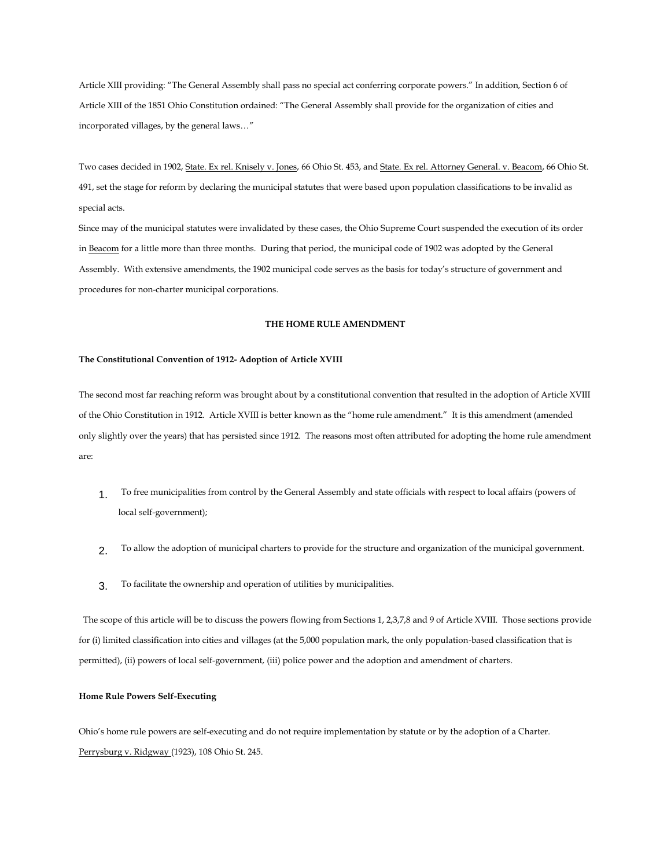Article XIII providing: "The General Assembly shall pass no special act conferring corporate powers." In addition, Section 6 of Article XIII of the 1851 Ohio Constitution ordained: "The General Assembly shall provide for the organization of cities and incorporated villages, by the general laws…"

Two cases decided in 1902, State. Ex rel. Knisely v. Jones, 66 Ohio St. 453, and State. Ex rel. Attorney General. v. Beacom, 66 Ohio St. 491, set the stage for reform by declaring the municipal statutes that were based upon population classifications to be invalid as special acts.

Since may of the municipal statutes were invalidated by these cases, the Ohio Supreme Court suspended the execution of its order in Beacom for a little more than three months. During that period, the municipal code of 1902 was adopted by the General Assembly. With extensive amendments, the 1902 municipal code serves as the basis for today's structure of government and procedures for non-charter municipal corporations.

## **THE HOME RULE AMENDMENT**

## **The Constitutional Convention of 1912- Adoption of Article XVIII**

The second most far reaching reform was brought about by a constitutional convention that resulted in the adoption of Article XVIII of the Ohio Constitution in 1912. Article XVIII is better known as the "home rule amendment." It is this amendment (amended only slightly over the years) that has persisted since 1912. The reasons most often attributed for adopting the home rule amendment are:

- 1. To free municipalities from control by the General Assembly and state officials with respect to local affairs (powers of local self-government);
- 2. To allow the adoption of municipal charters to provide for the structure and organization of the municipal government.
- 3. To facilitate the ownership and operation of utilities by municipalities.

The scope of this article will be to discuss the powers flowing from Sections 1, 2,3,7,8 and 9 of Article XVIII. Those sections provide for (i) limited classification into cities and villages (at the 5,000 population mark, the only population-based classification that is permitted), (ii) powers of local self-government, (iii) police power and the adoption and amendment of charters.

#### **Home Rule Powers Self-Executing**

Ohio's home rule powers are self-executing and do not require implementation by statute or by the adoption of a Charter. Perrysburg v. Ridgway (1923), 108 Ohio St. 245.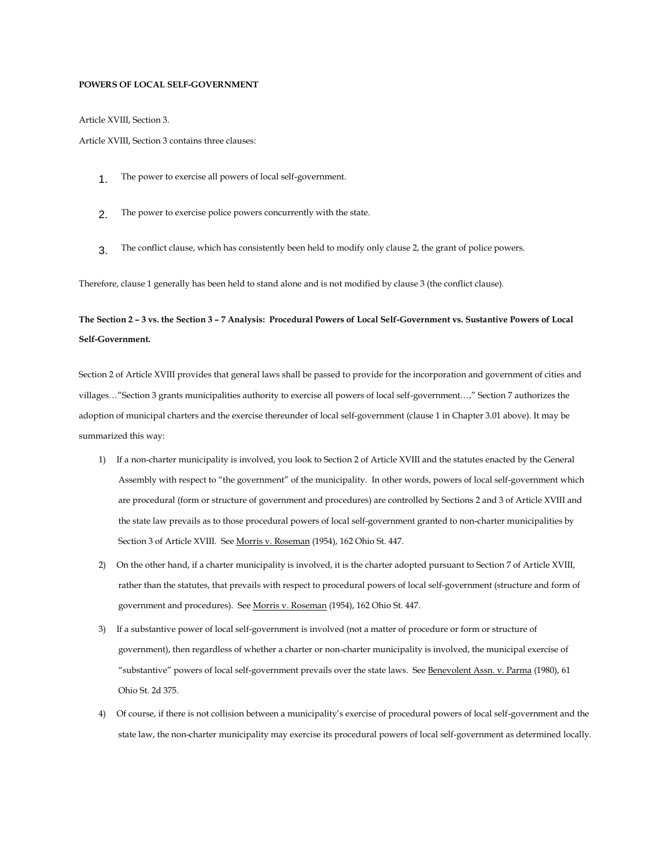## **POWERS OF LOCAL SELF-GOVERNMENT**

Article XVIII, Section 3.

Article XVIII, Section 3 contains three clauses:

- 1. The power to exercise all powers of local self-government.
- 2. The power to exercise police powers concurrently with the state.
- 3. The conflict clause, which has consistently been held to modify only clause 2, the grant of police powers.

Therefore, clause 1 generally has been held to stand alone and is not modified by clause 3 (the conflict clause).

## **The Section 2 – 3 vs. the Section 3 – 7 Analysis: Procedural Powers of Local Self-Government vs. Sustantive Powers of Local Self-Government.**

Section 2 of Article XVIII provides that general laws shall be passed to provide for the incorporation and government of cities and villages…"Section 3 grants municipalities authority to exercise all powers of local self-government…," Section 7 authorizes the adoption of municipal charters and the exercise thereunder of local self-government (clause 1 in Chapter 3.01 above). It may be summarized this way:

- 1) If a non-charter municipality is involved, you look to Section 2 of Article XVIII and the statutes enacted by the General Assembly with respect to "the government" of the municipality. In other words, powers of local self-government which are procedural (form or structure of government and procedures) are controlled by Sections 2 and 3 of Article XVIII and the state law prevails as to those procedural powers of local self-government granted to non-charter municipalities by Section 3 of Article XVIII. See Morris v. Roseman (1954), 162 Ohio St. 447.
- 2) On the other hand, if a charter municipality is involved, it is the charter adopted pursuant to Section 7 of Article XVIII, rather than the statutes, that prevails with respect to procedural powers of local self-government (structure and form of government and procedures). See Morris v. Roseman (1954), 162 Ohio St. 447.
- 3) If a substantive power of local self-government is involved (not a matter of procedure or form or structure of government), then regardless of whether a charter or non-charter municipality is involved, the municipal exercise of "substantive" powers of local self-government prevails over the state laws. See Benevolent Assn. v. Parma (1980), 61 Ohio St. 2d 375.
- 4) Of course, if there is not collision between a municipality's exercise of procedural powers of local self-government and the state law, the non-charter municipality may exercise its procedural powers of local self-government as determined locally.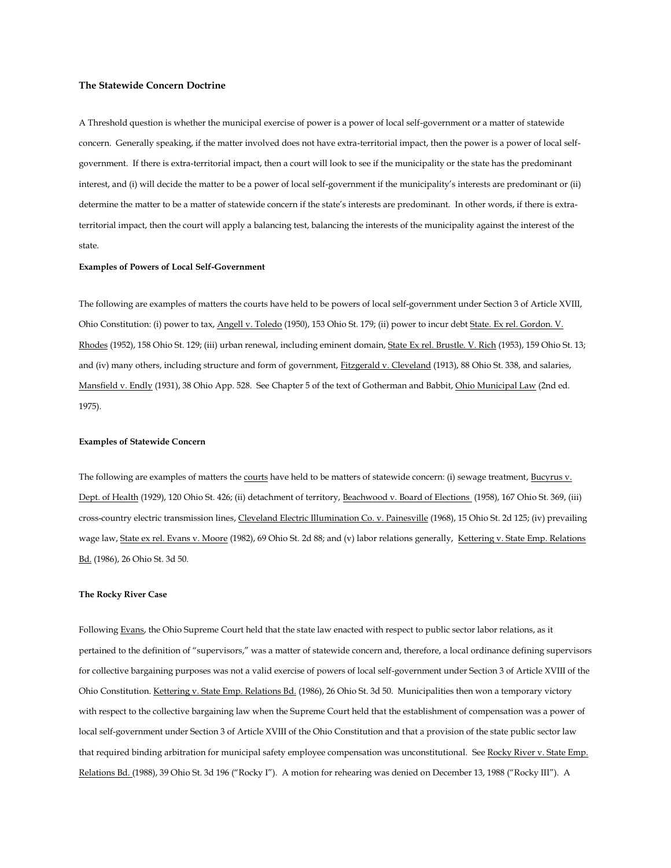## **The Statewide Concern Doctrine**

A Threshold question is whether the municipal exercise of power is a power of local self-government or a matter of statewide concern. Generally speaking, if the matter involved does not have extra-territorial impact, then the power is a power of local selfgovernment. If there is extra-territorial impact, then a court will look to see if the municipality or the state has the predominant interest, and (i) will decide the matter to be a power of local self-government if the municipality's interests are predominant or (ii) determine the matter to be a matter of statewide concern if the state's interests are predominant. In other words, if there is extraterritorial impact, then the court will apply a balancing test, balancing the interests of the municipality against the interest of the state.

## **Examples of Powers of Local Self-Government**

The following are examples of matters the courts have held to be powers of local self-government under Section 3 of Article XVIII, Ohio Constitution: (i) power to tax, Angell v. Toledo (1950), 153 Ohio St. 179; (ii) power to incur debt State. Ex rel. Gordon. V. Rhodes (1952), 158 Ohio St. 129; (iii) urban renewal, including eminent domain, State Ex rel. Brustle. V. Rich (1953), 159 Ohio St. 13; and (iv) many others, including structure and form of government, Fitzgerald v. Cleveland (1913), 88 Ohio St. 338, and salaries, Mansfield v. Endly (1931), 38 Ohio App. 528. See Chapter 5 of the text of Gotherman and Babbit, Ohio Municipal Law (2nd ed. 1975).

#### **Examples of Statewide Concern**

The following are examples of matters the courts have held to be matters of statewide concern: (i) sewage treatment, Bucyrus v. Dept. of Health (1929), 120 Ohio St. 426; (ii) detachment of territory, Beachwood v. Board of Elections (1958), 167 Ohio St. 369, (iii) cross-country electric transmission lines, Cleveland Electric Illumination Co. v. Painesville (1968), 15 Ohio St. 2d 125; (iv) prevailing wage law, State ex rel. Evans v. Moore (1982), 69 Ohio St. 2d 88; and (v) labor relations generally, Kettering v. State Emp. Relations Bd. (1986), 26 Ohio St. 3d 50.

### **The Rocky River Case**

Following Evans, the Ohio Supreme Court held that the state law enacted with respect to public sector labor relations, as it pertained to the definition of "supervisors," was a matter of statewide concern and, therefore, a local ordinance defining supervisors for collective bargaining purposes was not a valid exercise of powers of local self-government under Section 3 of Article XVIII of the Ohio Constitution. Kettering v. State Emp. Relations Bd. (1986), 26 Ohio St. 3d 50. Municipalities then won a temporary victory with respect to the collective bargaining law when the Supreme Court held that the establishment of compensation was a power of local self-government under Section 3 of Article XVIII of the Ohio Constitution and that a provision of the state public sector law that required binding arbitration for municipal safety employee compensation was unconstitutional. See Rocky River v. State Emp. Relations Bd. (1988), 39 Ohio St. 3d 196 ("Rocky I"). A motion for rehearing was denied on December 13, 1988 ("Rocky III"). A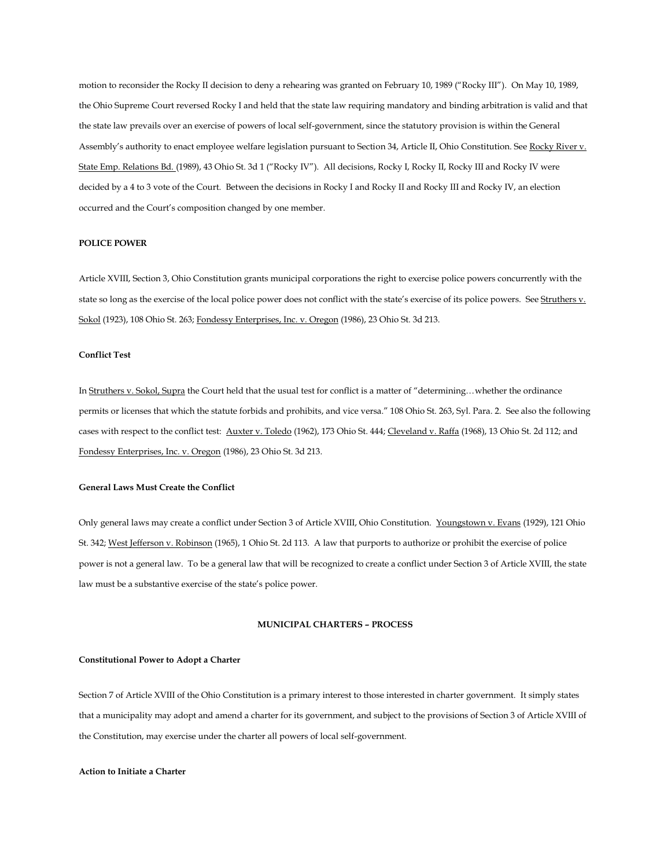motion to reconsider the Rocky II decision to deny a rehearing was granted on February 10, 1989 ("Rocky III"). On May 10, 1989, the Ohio Supreme Court reversed Rocky I and held that the state law requiring mandatory and binding arbitration is valid and that the state law prevails over an exercise of powers of local self-government, since the statutory provision is within the General Assembly's authority to enact employee welfare legislation pursuant to Section 34, Article II, Ohio Constitution. See Rocky River v. State Emp. Relations Bd. (1989), 43 Ohio St. 3d 1 ("Rocky IV"). All decisions, Rocky I, Rocky II, Rocky III and Rocky IV were decided by a 4 to 3 vote of the Court. Between the decisions in Rocky I and Rocky II and Rocky III and Rocky IV, an election occurred and the Court's composition changed by one member.

## **POLICE POWER**

Article XVIII, Section 3, Ohio Constitution grants municipal corporations the right to exercise police powers concurrently with the state so long as the exercise of the local police power does not conflict with the state's exercise of its police powers. See Struthers v. Sokol (1923), 108 Ohio St. 263; Fondessy Enterprises, Inc. v. Oregon (1986), 23 Ohio St. 3d 213.

## **Conflict Test**

In Struthers v. Sokol, Supra the Court held that the usual test for conflict is a matter of "determining...whether the ordinance permits or licenses that which the statute forbids and prohibits, and vice versa." 108 Ohio St. 263, Syl. Para. 2. See also the following cases with respect to the conflict test: Auxter v. Toledo (1962), 173 Ohio St. 444; Cleveland v. Raffa (1968), 13 Ohio St. 2d 112; and Fondessy Enterprises, Inc. v. Oregon (1986), 23 Ohio St. 3d 213.

## **General Laws Must Create the Conflict**

Only general laws may create a conflict under Section 3 of Article XVIII, Ohio Constitution. Youngstown v. Evans (1929), 121 Ohio St. 342; West Jefferson v. Robinson (1965), 1 Ohio St. 2d 113. A law that purports to authorize or prohibit the exercise of police power is not a general law. To be a general law that will be recognized to create a conflict under Section 3 of Article XVIII, the state law must be a substantive exercise of the state's police power.

#### **MUNICIPAL CHARTERS – PROCESS**

#### **Constitutional Power to Adopt a Charter**

Section 7 of Article XVIII of the Ohio Constitution is a primary interest to those interested in charter government. It simply states that a municipality may adopt and amend a charter for its government, and subject to the provisions of Section 3 of Article XVIII of the Constitution, may exercise under the charter all powers of local self-government.

### **Action to Initiate a Charter**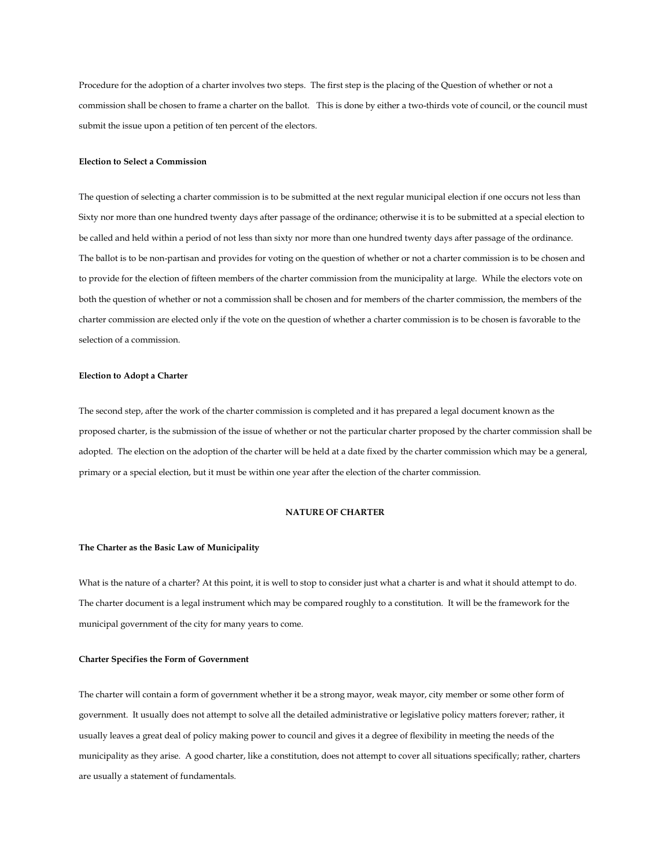Procedure for the adoption of a charter involves two steps. The first step is the placing of the Question of whether or not a commission shall be chosen to frame a charter on the ballot. This is done by either a two-thirds vote of council, or the council must submit the issue upon a petition of ten percent of the electors.

#### **Election to Select a Commission**

The question of selecting a charter commission is to be submitted at the next regular municipal election if one occurs not less than Sixty nor more than one hundred twenty days after passage of the ordinance; otherwise it is to be submitted at a special election to be called and held within a period of not less than sixty nor more than one hundred twenty days after passage of the ordinance. The ballot is to be non-partisan and provides for voting on the question of whether or not a charter commission is to be chosen and to provide for the election of fifteen members of the charter commission from the municipality at large. While the electors vote on both the question of whether or not a commission shall be chosen and for members of the charter commission, the members of the charter commission are elected only if the vote on the question of whether a charter commission is to be chosen is favorable to the selection of a commission.

#### **Election to Adopt a Charter**

The second step, after the work of the charter commission is completed and it has prepared a legal document known as the proposed charter, is the submission of the issue of whether or not the particular charter proposed by the charter commission shall be adopted. The election on the adoption of the charter will be held at a date fixed by the charter commission which may be a general, primary or a special election, but it must be within one year after the election of the charter commission.

## **NATURE OF CHARTER**

## **The Charter as the Basic Law of Municipality**

What is the nature of a charter? At this point, it is well to stop to consider just what a charter is and what it should attempt to do. The charter document is a legal instrument which may be compared roughly to a constitution. It will be the framework for the municipal government of the city for many years to come.

#### **Charter Specifies the Form of Government**

The charter will contain a form of government whether it be a strong mayor, weak mayor, city member or some other form of government. It usually does not attempt to solve all the detailed administrative or legislative policy matters forever; rather, it usually leaves a great deal of policy making power to council and gives it a degree of flexibility in meeting the needs of the municipality as they arise. A good charter, like a constitution, does not attempt to cover all situations specifically; rather, charters are usually a statement of fundamentals.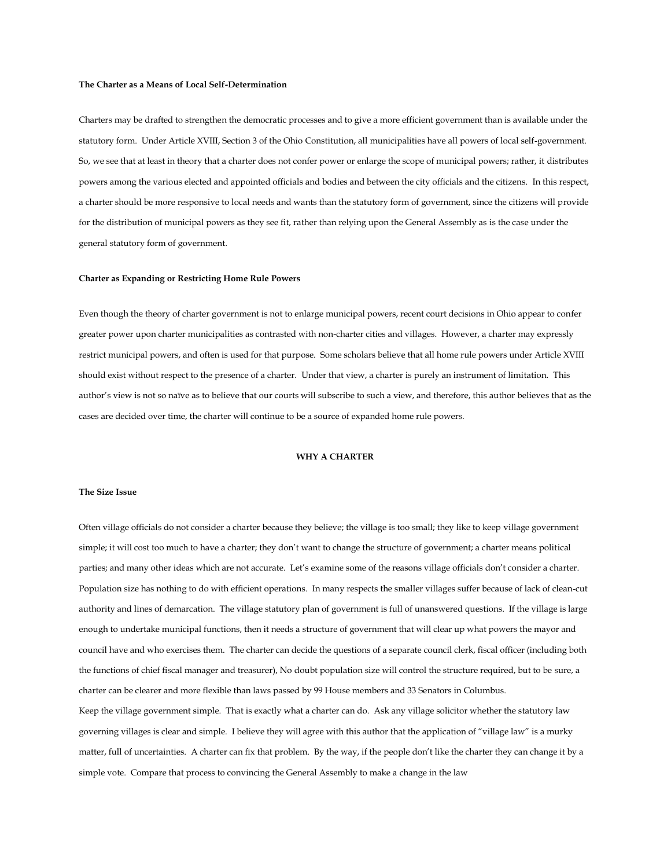## **The Charter as a Means of Local Self-Determination**

Charters may be drafted to strengthen the democratic processes and to give a more efficient government than is available under the statutory form. Under Article XVIII, Section 3 of the Ohio Constitution, all municipalities have all powers of local self-government. So, we see that at least in theory that a charter does not confer power or enlarge the scope of municipal powers; rather, it distributes powers among the various elected and appointed officials and bodies and between the city officials and the citizens. In this respect, a charter should be more responsive to local needs and wants than the statutory form of government, since the citizens will provide for the distribution of municipal powers as they see fit, rather than relying upon the General Assembly as is the case under the general statutory form of government.

#### **Charter as Expanding or Restricting Home Rule Powers**

Even though the theory of charter government is not to enlarge municipal powers, recent court decisions in Ohio appear to confer greater power upon charter municipalities as contrasted with non-charter cities and villages. However, a charter may expressly restrict municipal powers, and often is used for that purpose. Some scholars believe that all home rule powers under Article XVIII should exist without respect to the presence of a charter. Under that view, a charter is purely an instrument of limitation. This author's view is not so naïve as to believe that our courts will subscribe to such a view, and therefore, this author believes that as the cases are decided over time, the charter will continue to be a source of expanded home rule powers.

#### **WHY A CHARTER**

#### **The Size Issue**

Often village officials do not consider a charter because they believe; the village is too small; they like to keep village government simple; it will cost too much to have a charter; they don't want to change the structure of government; a charter means political parties; and many other ideas which are not accurate. Let's examine some of the reasons village officials don't consider a charter. Population size has nothing to do with efficient operations. In many respects the smaller villages suffer because of lack of clean-cut authority and lines of demarcation. The village statutory plan of government is full of unanswered questions. If the village is large enough to undertake municipal functions, then it needs a structure of government that will clear up what powers the mayor and council have and who exercises them. The charter can decide the questions of a separate council clerk, fiscal officer (including both the functions of chief fiscal manager and treasurer), No doubt population size will control the structure required, but to be sure, a charter can be clearer and more flexible than laws passed by 99 House members and 33 Senators in Columbus. Keep the village government simple. That is exactly what a charter can do. Ask any village solicitor whether the statutory law governing villages is clear and simple. I believe they will agree with this author that the application of "village law" is a murky matter, full of uncertainties. A charter can fix that problem. By the way, if the people don't like the charter they can change it by a simple vote. Compare that process to convincing the General Assembly to make a change in the law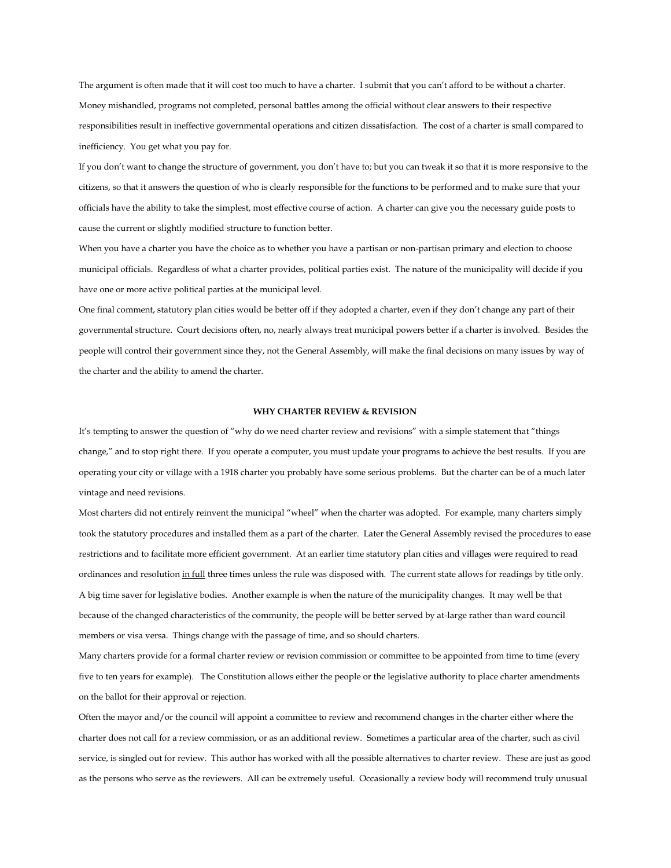The argument is often made that it will cost too much to have a charter. I submit that you can't afford to be without a charter. Money mishandled, programs not completed, personal battles among the official without clear answers to their respective responsibilities result in ineffective governmental operations and citizen dissatisfaction. The cost of a charter is small compared to inefficiency. You get what you pay for.

If you don't want to change the structure of government, you don't have to; but you can tweak it so that it is more responsive to the citizens, so that it answers the question of who is clearly responsible for the functions to be performed and to make sure that your officials have the ability to take the simplest, most effective course of action. A charter can give you the necessary guide posts to cause the current or slightly modified structure to function better.

When you have a charter you have the choice as to whether you have a partisan or non-partisan primary and election to choose municipal officials. Regardless of what a charter provides, political parties exist. The nature of the municipality will decide if you have one or more active political parties at the municipal level.

One final comment, statutory plan cities would be better off if they adopted a charter, even if they don't change any part of their governmental structure. Court decisions often, no, nearly always treat municipal powers better if a charter is involved. Besides the people will control their government since they, not the General Assembly, will make the final decisions on many issues by way of the charter and the ability to amend the charter.

## **WHY CHARTER REVIEW & REVISION**

It's tempting to answer the question of "why do we need charter review and revisions" with a simple statement that "things change," and to stop right there. If you operate a computer, you must update your programs to achieve the best results. If you are operating your city or village with a 1918 charter you probably have some serious problems. But the charter can be of a much later vintage and need revisions.

Most charters did not entirely reinvent the municipal "wheel" when the charter was adopted. For example, many charters simply took the statutory procedures and installed them as a part of the charter. Later the General Assembly revised the procedures to ease restrictions and to facilitate more efficient government. At an earlier time statutory plan cities and villages were required to read ordinances and resolution in full three times unless the rule was disposed with. The current state allows for readings by title only. A big time saver for legislative bodies. Another example is when the nature of the municipality changes. It may well be that because of the changed characteristics of the community, the people will be better served by at-large rather than ward council members or visa versa. Things change with the passage of time, and so should charters.

Many charters provide for a formal charter review or revision commission or committee to be appointed from time to time (every five to ten years for example). The Constitution allows either the people or the legislative authority to place charter amendments on the ballot for their approval or rejection.

Often the mayor and/or the council will appoint a committee to review and recommend changes in the charter either where the charter does not call for a review commission, or as an additional review. Sometimes a particular area of the charter, such as civil service, is singled out for review. This author has worked with all the possible alternatives to charter review. These are just as good as the persons who serve as the reviewers. All can be extremely useful. Occasionally a review body will recommend truly unusual